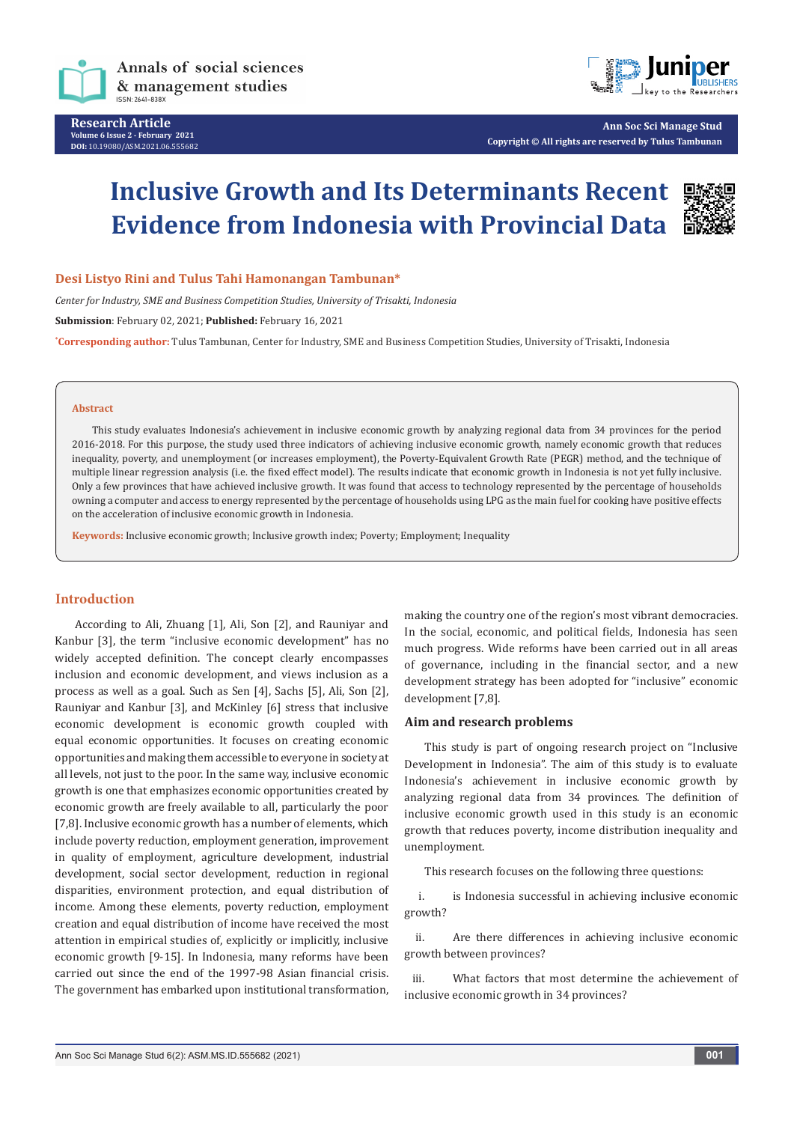



**Ann Soc Sci Manage Stud Copyright © All rights are reserved by Tulus Tambunan**

# **Inclusive Growth and Its Determinants Recent Evidence from Indonesia with Provincial Data**



**Desi Listyo Rini and Tulus Tahi Hamonangan Tambunan\***

*Center for Industry, SME and Business Competition Studies, University of Trisakti, Indonesia*

**Submission**: February 02, 2021; **Published:** February 16, 2021

**\* Corresponding author:** Tulus Tambunan, Center for Industry, SME and Business Competition Studies, University of Trisakti, Indonesia

#### **Abstract**

This study evaluates Indonesia's achievement in inclusive economic growth by analyzing regional data from 34 provinces for the period 2016-2018. For this purpose, the study used three indicators of achieving inclusive economic growth, namely economic growth that reduces inequality, poverty, and unemployment (or increases employment), the Poverty-Equivalent Growth Rate (PEGR) method, and the technique of multiple linear regression analysis (i.e. the fixed effect model). The results indicate that economic growth in Indonesia is not yet fully inclusive. Only a few provinces that have achieved inclusive growth. It was found that access to technology represented by the percentage of households owning a computer and access to energy represented by the percentage of households using LPG as the main fuel for cooking have positive effects on the acceleration of inclusive economic growth in Indonesia.

**Keywords:** Inclusive economic growth; Inclusive growth index; Poverty; Employment; Inequality

#### **Introduction**

According to Ali, Zhuang [1], Ali, Son [2], and Rauniyar and Kanbur [3], the term "inclusive economic development" has no widely accepted definition. The concept clearly encompasses inclusion and economic development, and views inclusion as a process as well as a goal. Such as Sen [4], Sachs [5], Ali, Son [2], Rauniyar and Kanbur [3], and McKinley [6] stress that inclusive economic development is economic growth coupled with equal economic opportunities. It focuses on creating economic opportunities and making them accessible to everyone in society at all levels, not just to the poor. In the same way, inclusive economic growth is one that emphasizes economic opportunities created by economic growth are freely available to all, particularly the poor [7,8]. Inclusive economic growth has a number of elements, which include poverty reduction, employment generation, improvement in quality of employment, agriculture development, industrial development, social sector development, reduction in regional disparities, environment protection, and equal distribution of income. Among these elements, poverty reduction, employment creation and equal distribution of income have received the most attention in empirical studies of, explicitly or implicitly, inclusive economic growth [9-15]. In Indonesia, many reforms have been carried out since the end of the 1997-98 Asian financial crisis. The government has embarked upon institutional transformation,

making the country one of the region's most vibrant democracies. In the social, economic, and political fields, Indonesia has seen much progress. Wide reforms have been carried out in all areas of governance, including in the financial sector, and a new development strategy has been adopted for "inclusive" economic development [7,8].

#### **Aim and research problems**

This study is part of ongoing research project on "Inclusive Development in Indonesia". The aim of this study is to evaluate Indonesia's achievement in inclusive economic growth by analyzing regional data from 34 provinces. The definition of inclusive economic growth used in this study is an economic growth that reduces poverty, income distribution inequality and unemployment.

This research focuses on the following three questions:

i. is Indonesia successful in achieving inclusive economic growth?

ii. Are there differences in achieving inclusive economic growth between provinces?

iii. What factors that most determine the achievement of inclusive economic growth in 34 provinces?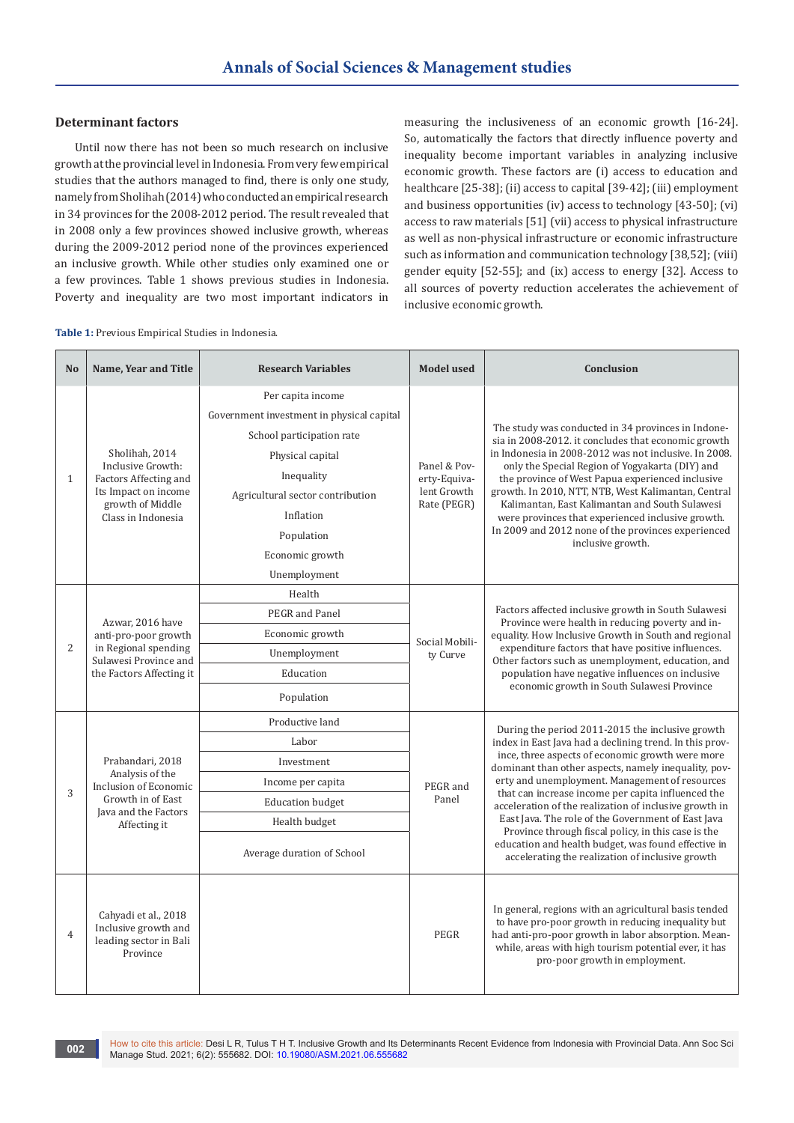#### **Determinant factors**

Until now there has not been so much research on inclusive growth at the provincial level in Indonesia. From very few empirical studies that the authors managed to find, there is only one study, namely from Sholihah (2014) who conducted an empirical research in 34 provinces for the 2008-2012 period. The result revealed that in 2008 only a few provinces showed inclusive growth, whereas during the 2009-2012 period none of the provinces experienced an inclusive growth. While other studies only examined one or a few provinces. Table 1 shows previous studies in Indonesia. Poverty and inequality are two most important indicators in

measuring the inclusiveness of an economic growth [16-24]. So, automatically the factors that directly influence poverty and inequality become important variables in analyzing inclusive economic growth. These factors are (i) access to education and healthcare [25-38]; (ii) access to capital [39-42]; (iii) employment and business opportunities (iv) access to technology [43-50]; (vi) access to raw materials [51] (vii) access to physical infrastructure as well as non-physical infrastructure or economic infrastructure such as information and communication technology [38,52]; (viii) gender equity [52-55]; and (ix) access to energy [32]. Access to all sources of poverty reduction accelerates the achievement of inclusive economic growth.

|  | Table 1: Previous Empirical Studies in Indonesia. |  |
|--|---------------------------------------------------|--|
|  |                                                   |  |

| N <sub>o</sub> | Name, Year and Title                                                                                                           | <b>Research Variables</b>                                                                                                                                                                                                       | <b>Model used</b>                                          | Conclusion                                                                                                                                                                                                                                                                                                                                                                                                                                                                                                                                                                                                        |
|----------------|--------------------------------------------------------------------------------------------------------------------------------|---------------------------------------------------------------------------------------------------------------------------------------------------------------------------------------------------------------------------------|------------------------------------------------------------|-------------------------------------------------------------------------------------------------------------------------------------------------------------------------------------------------------------------------------------------------------------------------------------------------------------------------------------------------------------------------------------------------------------------------------------------------------------------------------------------------------------------------------------------------------------------------------------------------------------------|
| $\mathbf{1}$   | Sholihah, 2014<br>Inclusive Growth:<br>Factors Affecting and<br>Its Impact on income<br>growth of Middle<br>Class in Indonesia | Per capita income<br>Government investment in physical capital<br>School participation rate<br>Physical capital<br>Inequality<br>Agricultural sector contribution<br>Inflation<br>Population<br>Economic growth<br>Unemployment | Panel & Pov-<br>erty-Equiva-<br>lent Growth<br>Rate (PEGR) | The study was conducted in 34 provinces in Indone-<br>sia in 2008-2012. it concludes that economic growth<br>in Indonesia in 2008-2012 was not inclusive. In 2008.<br>only the Special Region of Yogyakarta (DIY) and<br>the province of West Papua experienced inclusive<br>growth. In 2010, NTT, NTB, West Kalimantan, Central<br>Kalimantan, East Kalimantan and South Sulawesi<br>were provinces that experienced inclusive growth.<br>In 2009 and 2012 none of the provinces experienced<br>inclusive growth.                                                                                                |
| $\overline{2}$ | Azwar, 2016 have<br>anti-pro-poor growth<br>in Regional spending<br>Sulawesi Province and<br>the Factors Affecting it          | Health<br>PEGR and Panel<br>Economic growth<br>Unemployment<br>Education<br>Population                                                                                                                                          | Social Mobili-<br>ty Curve                                 | Factors affected inclusive growth in South Sulawesi<br>Province were health in reducing poverty and in-<br>equality. How Inclusive Growth in South and regional<br>expenditure factors that have positive influences.<br>Other factors such as unemployment, education, and<br>population have negative influences on inclusive<br>economic growth in South Sulawesi Province                                                                                                                                                                                                                                     |
| 3              | Prabandari, 2018<br>Analysis of the<br>Inclusion of Economic<br>Growth in of East<br>Java and the Factors<br>Affecting it      | Productive land<br>Labor<br>Investment<br>Income per capita<br><b>Education budget</b><br>Health budget<br>Average duration of School                                                                                           | PEGR and<br>Panel                                          | During the period 2011-2015 the inclusive growth<br>index in East Java had a declining trend. In this prov-<br>ince, three aspects of economic growth were more<br>dominant than other aspects, namely inequality, pov-<br>erty and unemployment. Management of resources<br>that can increase income per capita influenced the<br>acceleration of the realization of inclusive growth in<br>East Java. The role of the Government of East Java<br>Province through fiscal policy, in this case is the<br>education and health budget, was found effective in<br>accelerating the realization of inclusive growth |
| 4              | Cahyadi et al., 2018<br>Inclusive growth and<br>leading sector in Bali<br>Province                                             |                                                                                                                                                                                                                                 | PEGR                                                       | In general, regions with an agricultural basis tended<br>to have pro-poor growth in reducing inequality but<br>had anti-pro-poor growth in labor absorption. Mean-<br>while, areas with high tourism potential ever, it has<br>pro-poor growth in employment.                                                                                                                                                                                                                                                                                                                                                     |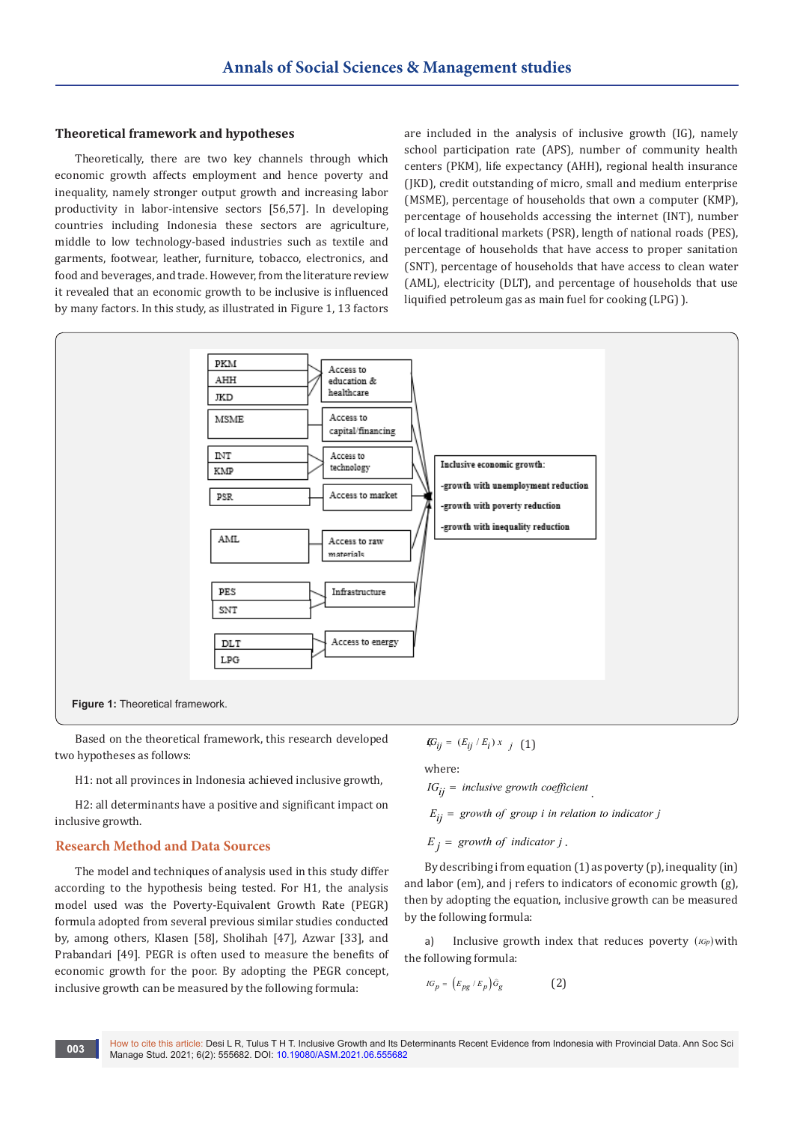#### **Theoretical framework and hypotheses**

Theoretically, there are two key channels through which economic growth affects employment and hence poverty and inequality, namely stronger output growth and increasing labor productivity in labor-intensive sectors [56,57]. In developing countries including Indonesia these sectors are agriculture, middle to low technology-based industries such as textile and garments, footwear, leather, furniture, tobacco, electronics, and food and beverages, and trade. However, from the literature review it revealed that an economic growth to be inclusive is influenced by many factors. In this study, as illustrated in Figure 1, 13 factors

are included in the analysis of inclusive growth (IG), namely school participation rate (APS), number of community health centers (PKM), life expectancy (AHH), regional health insurance (JKD), credit outstanding of micro, small and medium enterprise (MSME), percentage of households that own a computer (KMP), percentage of households accessing the internet (INT), number of local traditional markets (PSR), length of national roads (PES), percentage of households that have access to proper sanitation (SNT), percentage of households that have access to clean water (AML), electricity (DLT), and percentage of households that use liquified petroleum gas as main fuel for cooking (LPG) ).



Based on the theoretical framework, this research developed two hypotheses as follows:

H1: not all provinces in Indonesia achieved inclusive growth,

H2: all determinants have a positive and significant impact on inclusive growth.

### **Research Method and Data Sources**

The model and techniques of analysis used in this study differ according to the hypothesis being tested. For H1, the analysis model used was the Poverty-Equivalent Growth Rate (PEGR) formula adopted from several previous similar studies conducted by, among others, Klasen [58], Sholihah [47], Azwar [33], and Prabandari [49]. PEGR is often used to measure the benefits of economic growth for the poor. By adopting the PEGR concept, inclusive growth can be measured by the following formula:

$$
\mathbf{I} \hspace{-0.25em} G_{ij} = (E_{ij} \mathop{/} E_i) \, x_{j} \ \ \, (1)
$$

where:  $IG_{ii}$  = *inclusive growth coefficient* 

 $E_{ii}$  = growth of group *i* in relation to indicator *j* 

 $E_j =$  growth of indicator *j*.

By describing i from equation (1) as poverty (p), inequality (in) and labor (em), and j refers to indicators of economic growth (g), then by adopting the equation, inclusive growth can be measured by the following formula:

a) Inclusive growth index that reduces poverty (*IGp*) with the following formula:

$$
IG_p = (E_{pg} / E_p) \hat{G}_g \tag{2}
$$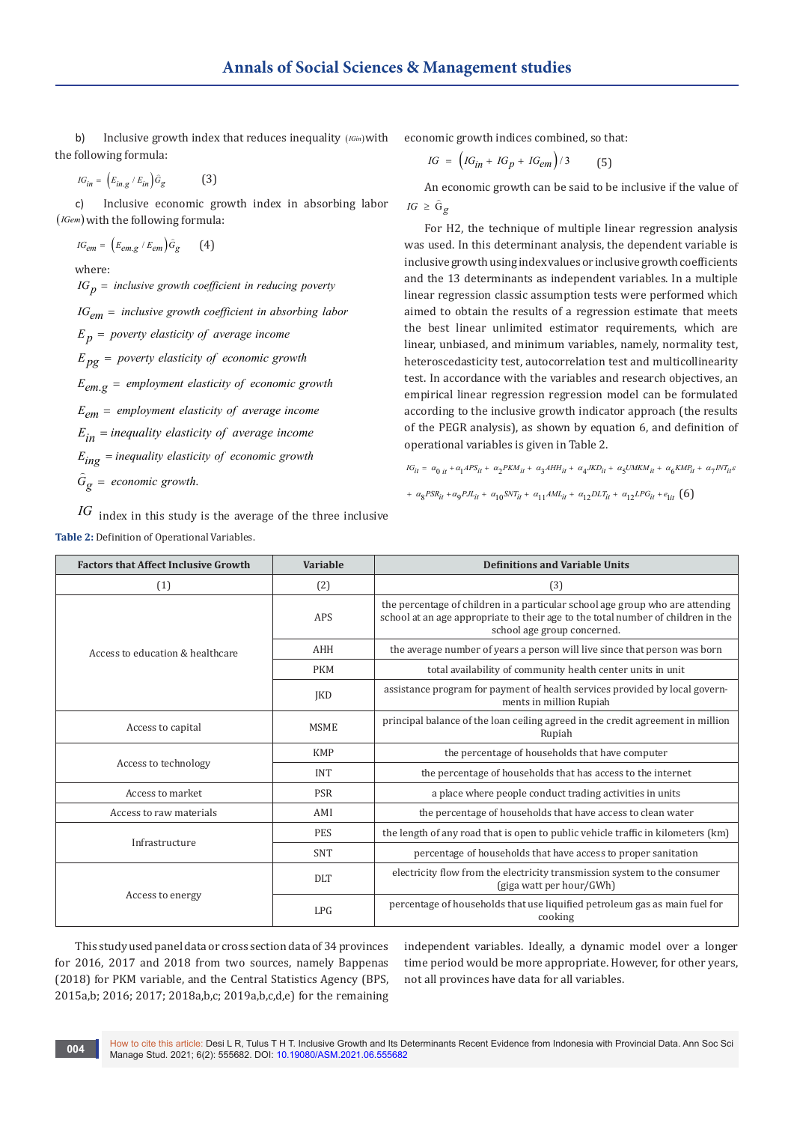b) Inclusive growth index that reduces inequality (*IGin*)with the following formula:

 $IG_{in} = (E_{in,g} / E_{in}) \hat{G}_g$  (3)

c) Inclusive economic growth index in absorbing labor (*IGem*) with the following formula:

$$
\mathit{IG}_{em} = \left(E_{em,g} \ / \ E_{em}\right) \hat{G}_{g} \qquad \text{(4)}
$$

where:

 $IG_p =$  *inclusive growth coefficient in reducing poverty* 

 $IG_{em}$  = inclusive growth coefficient in absorbing labor

 $E_p =$  poverty elasticity of average income

 $E_{p\sigma}$  = poverty elasticity of economic growth

 $E_{em, \varphi}$  = employment elasticity of economic growth

 $E_{em}$  = employment elasticity of average income

 $E_{in}$  = *inequality elasticity of average income* 

 $E_{ing}$  = *inequality elasticity of economic growth* 

 $\hat{G}_{\varphi}$  = economic growth.

*IG* index in this study is the average of the three inclusive **Table 2:** Definition of Operational Variables.

economic growth indices combined, so that:

$$
IG = \left(IG_{in} + IG_{p} + IG_{em}\right)/3\tag{5}
$$

An economic growth can be said to be inclusive if the value of *IG*  $\ge$   $\hat{G}_g$ 

For H2, the technique of multiple linear regression analysis was used. In this determinant analysis, the dependent variable is inclusive growth using index values or inclusive growth coefficients and the 13 determinants as independent variables. In a multiple linear regression classic assumption tests were performed which aimed to obtain the results of a regression estimate that meets the best linear unlimited estimator requirements, which are linear, unbiased, and minimum variables, namely, normality test, heteroscedasticity test, autocorrelation test and multicollinearity test. In accordance with the variables and research objectives, an empirical linear regression regression model can be formulated according to the inclusive growth indicator approach (the results of the PEGR analysis), as shown by equation 6, and definition of operational variables is given in Table 2.

 $IG_{it} = \alpha_{0it} + \alpha_1 APS_{it} + \alpha_2PKM_{it} + \alpha_3AHH_{it} + \alpha_4JKD_{it} + \alpha_5UMKM_{it} + \alpha_6KMP_{it} + \alpha_7INT_{it}$ 

+  $\alpha_{8}PSR_{it} + \alpha_{9}PJ_{it} + \alpha_{10}SNT_{it} + \alpha_{11}AML_{it} + \alpha_{12}DLT_{it} + \alpha_{12}LPG_{it} + e_{1it}$  (6)

| <b>Factors that Affect Inclusive Growth</b> | Variable    | <b>Definitions and Variable Units</b>                                                                                                                                                            |
|---------------------------------------------|-------------|--------------------------------------------------------------------------------------------------------------------------------------------------------------------------------------------------|
| (1)                                         | (2)         | (3)                                                                                                                                                                                              |
|                                             | APS         | the percentage of children in a particular school age group who are attending<br>school at an age appropriate to their age to the total number of children in the<br>school age group concerned. |
| Access to education & healthcare            | <b>AHH</b>  | the average number of years a person will live since that person was born                                                                                                                        |
|                                             | <b>PKM</b>  | total availability of community health center units in unit                                                                                                                                      |
|                                             | <b>IKD</b>  | assistance program for payment of health services provided by local govern-<br>ments in million Rupiah                                                                                           |
| Access to capital                           | <b>MSME</b> | principal balance of the loan ceiling agreed in the credit agreement in million<br>Rupiah                                                                                                        |
|                                             | <b>KMP</b>  | the percentage of households that have computer                                                                                                                                                  |
| Access to technology                        | <b>INT</b>  | the percentage of households that has access to the internet                                                                                                                                     |
| Access to market                            | <b>PSR</b>  | a place where people conduct trading activities in units                                                                                                                                         |
| Access to raw materials                     | AMI         | the percentage of households that have access to clean water                                                                                                                                     |
| Infrastructure                              | <b>PES</b>  | the length of any road that is open to public vehicle traffic in kilometers (km)                                                                                                                 |
|                                             | <b>SNT</b>  | percentage of households that have access to proper sanitation                                                                                                                                   |
|                                             | <b>DLT</b>  | electricity flow from the electricity transmission system to the consumer<br>(giga watt per hour/GWh)                                                                                            |
| Access to energy                            | LPG         | percentage of households that use liquified petroleum gas as main fuel for<br>cooking                                                                                                            |

This study used panel data or cross section data of 34 provinces for 2016, 2017 and 2018 from two sources, namely Bappenas (2018) for PKM variable, and the Central Statistics Agency (BPS, 2015a,b; 2016; 2017; 2018a,b,c; 2019a,b,c,d,e) for the remaining independent variables. Ideally, a dynamic model over a longer time period would be more appropriate. However, for other years, not all provinces have data for all variables.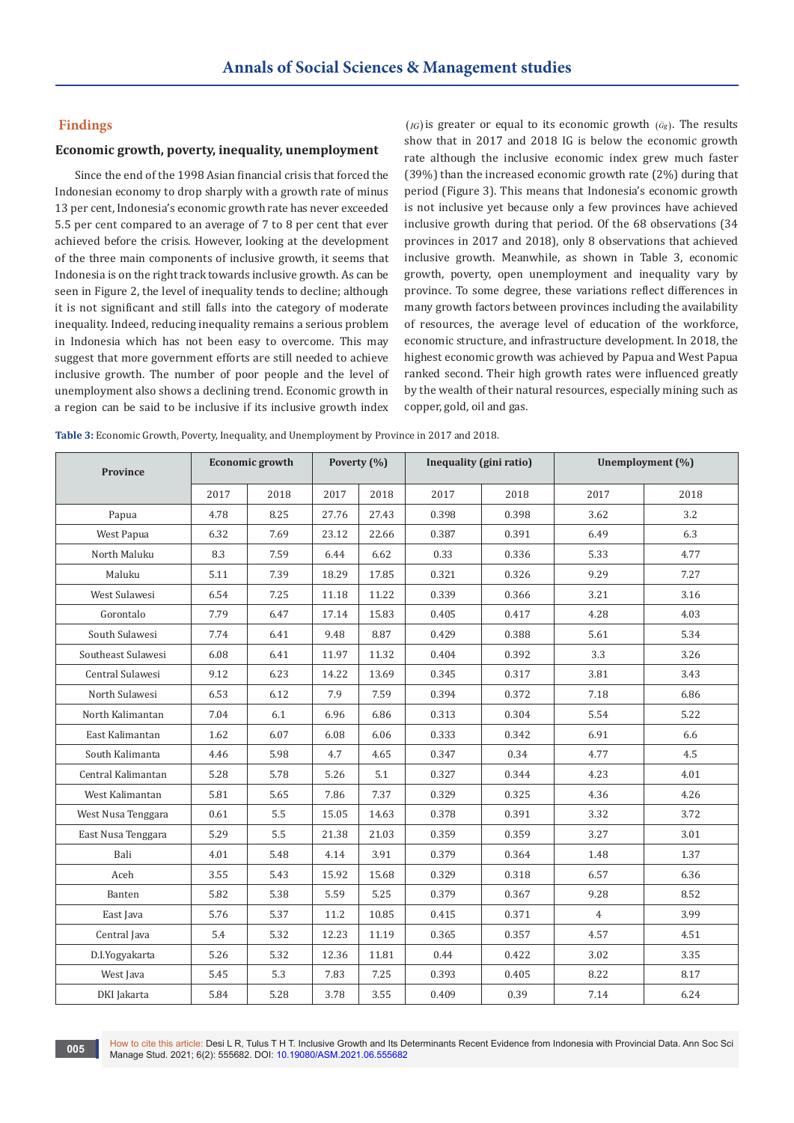#### **Findings**

#### **Economic growth, poverty, inequality, unemployment**

Since the end of the 1998 Asian financial crisis that forced the Indonesian economy to drop sharply with a growth rate of minus 13 per cent, Indonesia's economic growth rate has never exceeded 5.5 per cent compared to an average of 7 to 8 per cent that ever achieved before the crisis. However, looking at the development of the three main components of inclusive growth, it seems that Indonesia is on the right track towards inclusive growth. As can be seen in Figure 2, the level of inequality tends to decline; although it is not significant and still falls into the category of moderate inequality. Indeed, reducing inequality remains a serious problem in Indonesia which has not been easy to overcome. This may suggest that more government efforts are still needed to achieve inclusive growth. The number of poor people and the level of unemployment also shows a declining trend. Economic growth in a region can be said to be inclusive if its inclusive growth index  $(IG)$  is greater or equal to its economic growth  $(âg)$ . The results show that in 2017 and 2018 IG is below the economic growth rate although the inclusive economic index grew much faster (39%) than the increased economic growth rate (2%) during that period (Figure 3). This means that Indonesia's economic growth is not inclusive yet because only a few provinces have achieved inclusive growth during that period. Of the 68 observations (34 provinces in 2017 and 2018), only 8 observations that achieved inclusive growth. Meanwhile, as shown in Table 3, economic growth, poverty, open unemployment and inequality vary by province. To some degree, these variations reflect differences in many growth factors between provinces including the availability of resources, the average level of education of the workforce, economic structure, and infrastructure development. In 2018, the highest economic growth was achieved by Papua and West Papua ranked second. Their high growth rates were influenced greatly by the wealth of their natural resources, especially mining such as copper, gold, oil and gas.

**Table 3:** Economic Growth, Poverty, Inequality, and Unemployment by Province in 2017 and 2018.

| <b>Province</b>    |      | <b>Economic growth</b> |       | Poverty (%) | Inequality (gini ratio) |       | Unemployment (%) |      |
|--------------------|------|------------------------|-------|-------------|-------------------------|-------|------------------|------|
|                    | 2017 | 2018                   | 2017  | 2018        | 2017                    | 2018  | 2017             | 2018 |
| Papua              | 4.78 | 8.25                   | 27.76 | 27.43       | 0.398                   | 0.398 | 3.62             | 3.2  |
| West Papua         | 6.32 | 7.69                   | 23.12 | 22.66       | 0.387                   | 0.391 | 6.49             | 6.3  |
| North Maluku       | 8.3  | 7.59                   | 6.44  | 6.62        | 0.33                    | 0.336 | 5.33             | 4.77 |
| Maluku             | 5.11 | 7.39                   | 18.29 | 17.85       | 0.321                   | 0.326 | 9.29             | 7.27 |
| West Sulawesi      | 6.54 | 7.25                   | 11.18 | 11.22       | 0.339                   | 0.366 | 3.21             | 3.16 |
| Gorontalo          | 7.79 | 6.47                   | 17.14 | 15.83       | 0.405                   | 0.417 | 4.28             | 4.03 |
| South Sulawesi     | 7.74 | 6.41                   | 9.48  | 8.87        | 0.429                   | 0.388 | 5.61             | 5.34 |
| Southeast Sulawesi | 6.08 | 6.41                   | 11.97 | 11.32       | 0.404                   | 0.392 | 3.3              | 3.26 |
| Central Sulawesi   | 9.12 | 6.23                   | 14.22 | 13.69       | 0.345                   | 0.317 | 3.81             | 3.43 |
| North Sulawesi     | 6.53 | 6.12                   | 7.9   | 7.59        | 0.394                   | 0.372 | 7.18             | 6.86 |
| North Kalimantan   | 7.04 | 6.1                    | 6.96  | 6.86        | 0.313                   | 0.304 | 5.54             | 5.22 |
| East Kalimantan    | 1.62 | 6.07                   | 6.08  | 6.06        | 0.333                   | 0.342 | 6.91             | 6.6  |
| South Kalimanta    | 4.46 | 5.98                   | 4.7   | 4.65        | 0.347                   | 0.34  | 4.77             | 4.5  |
| Central Kalimantan | 5.28 | 5.78                   | 5.26  | 5.1         | 0.327                   | 0.344 | 4.23             | 4.01 |
| West Kalimantan    | 5.81 | 5.65                   | 7.86  | 7.37        | 0.329                   | 0.325 | 4.36             | 4.26 |
| West Nusa Tenggara | 0.61 | 5.5                    | 15.05 | 14.63       | 0.378                   | 0.391 | 3.32             | 3.72 |
| East Nusa Tenggara | 5.29 | 5.5                    | 21.38 | 21.03       | 0.359                   | 0.359 | 3.27             | 3.01 |
| Bali               | 4.01 | 5.48                   | 4.14  | 3.91        | 0.379                   | 0.364 | 1.48             | 1.37 |
| Aceh               | 3.55 | 5.43                   | 15.92 | 15.68       | 0.329                   | 0.318 | 6.57             | 6.36 |
| Banten             | 5.82 | 5.38                   | 5.59  | 5.25        | 0.379                   | 0.367 | 9.28             | 8.52 |
| East Java          | 5.76 | 5.37                   | 11.2  | 10.85       | 0.415                   | 0.371 | $\overline{4}$   | 3.99 |
| Central Java       | 5.4  | 5.32                   | 12.23 | 11.19       | 0.365                   | 0.357 | 4.57             | 4.51 |
| D.I.Yogyakarta     | 5.26 | 5.32                   | 12.36 | 11.81       | 0.44                    | 0.422 | 3.02             | 3.35 |
| West Java          | 5.45 | 5.3                    | 7.83  | 7.25        | 0.393                   | 0.405 | 8.22             | 8.17 |
| DKI Jakarta        | 5.84 | 5.28                   | 3.78  | 3.55        | 0.409                   | 0.39  | 7.14             | 6.24 |

How to cite this article: Desi L R, Tulus T H T. Inclusive Growth and Its Determinants Recent Evidence from Indonesia with Provincial Data. Ann Soc Sci 005 **CONFIDENTIAL CONFIDENTIAL CONSTRUCT**<br>Manage Stud. 2021; 6(2): 555682. DOI: [10.19080/ASM.2021.06.5556](http://dx.doi.org/10.19080/ASM.2021.06.555682)82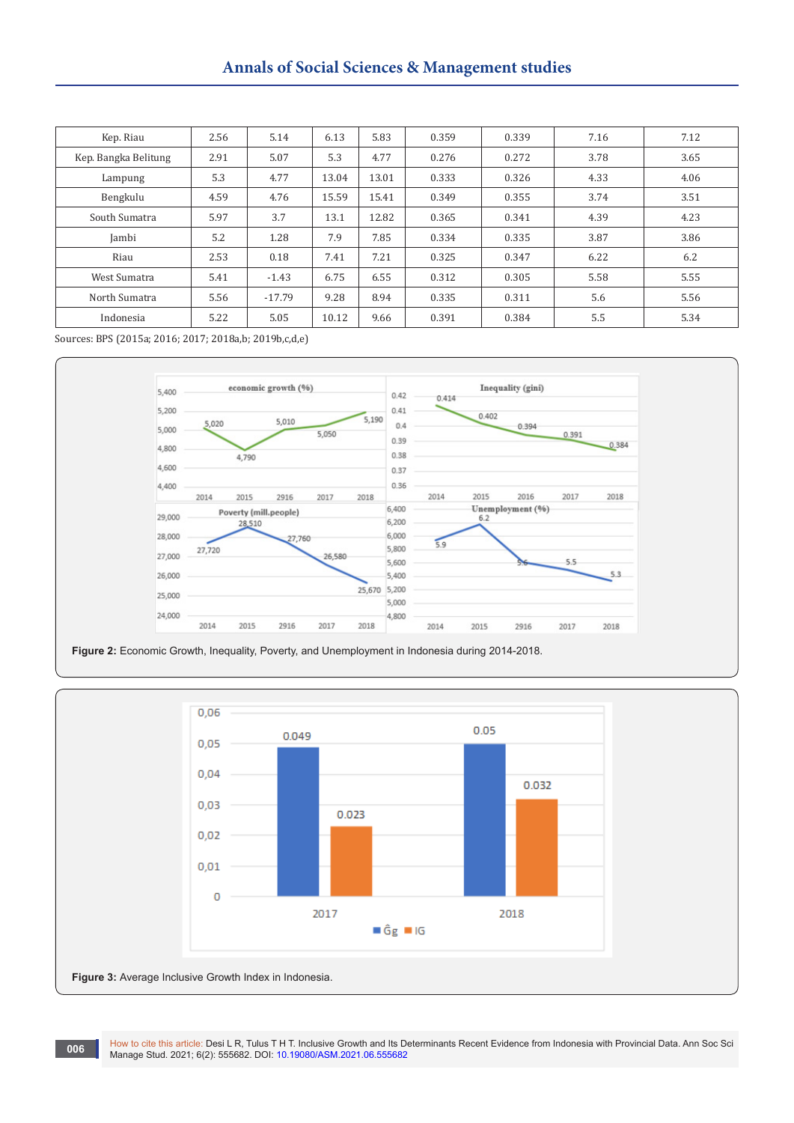# **Annals of Social Sciences & Management studies**

| Kep. Riau            | 2.56 | 5.14     | 6.13  | 5.83  | 0.359 | 0.339 | 7.16 | 7.12 |
|----------------------|------|----------|-------|-------|-------|-------|------|------|
| Kep. Bangka Belitung | 2.91 | 5.07     | 5.3   | 4.77  | 0.276 | 0.272 | 3.78 | 3.65 |
| Lampung              | 5.3  | 4.77     | 13.04 | 13.01 | 0.333 | 0.326 | 4.33 | 4.06 |
| Bengkulu             | 4.59 | 4.76     | 15.59 | 15.41 | 0.349 | 0.355 | 3.74 | 3.51 |
| South Sumatra        | 5.97 | 3.7      | 13.1  | 12.82 | 0.365 | 0.341 | 4.39 | 4.23 |
| Jambi                | 5.2  | 1.28     | 7.9   | 7.85  | 0.334 | 0.335 | 3.87 | 3.86 |
| Riau                 | 2.53 | 0.18     | 7.41  | 7.21  | 0.325 | 0.347 | 6.22 | 6.2  |
| West Sumatra         | 5.41 | $-1.43$  | 6.75  | 6.55  | 0.312 | 0.305 | 5.58 | 5.55 |
| North Sumatra        | 5.56 | $-17.79$ | 9.28  | 8.94  | 0.335 | 0.311 | 5.6  | 5.56 |
| Indonesia            | 5.22 | 5.05     | 10.12 | 9.66  | 0.391 | 0.384 | 5.5  | 5.34 |

Sources: BPS (2015a; 2016; 2017; 2018a,b; 2019b,c,d,e)





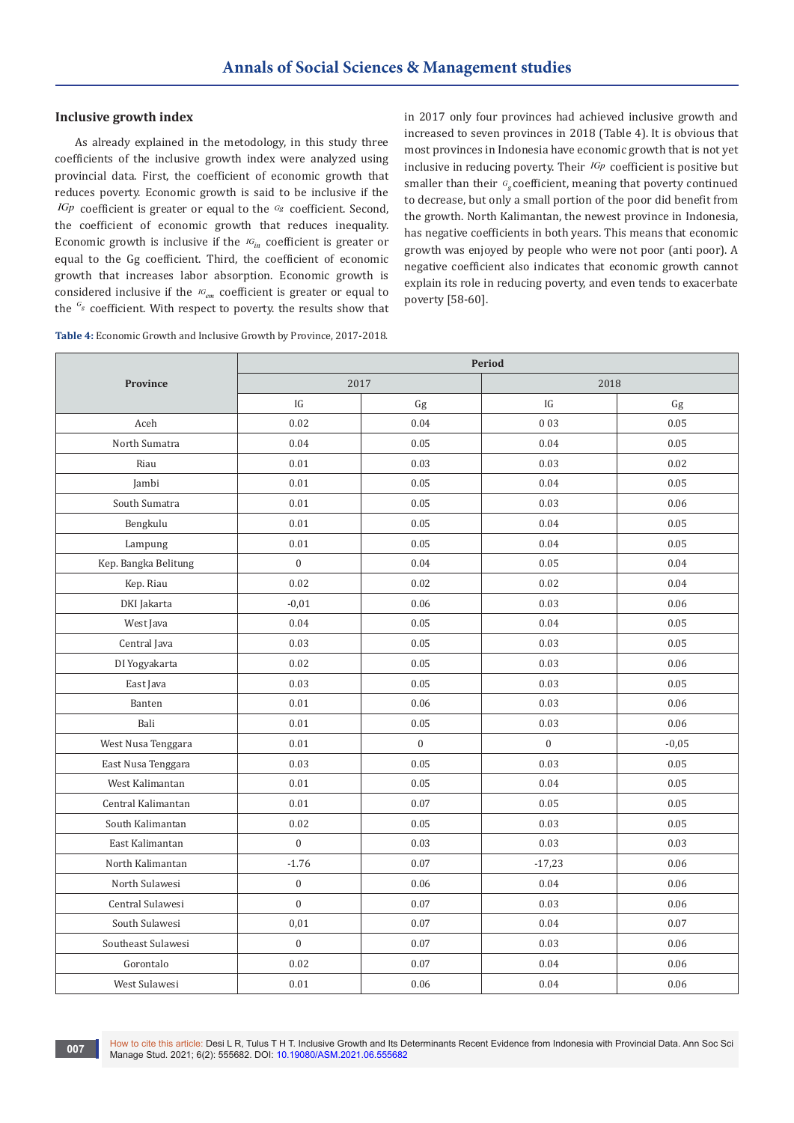#### **Inclusive growth index**

As already explained in the metodology, in this study three coefficients of the inclusive growth index were analyzed using provincial data. First, the coefficient of economic growth that reduces poverty. Economic growth is said to be inclusive if the *IGp* coefficient is greater or equal to the *Gg* coefficient. Second, the coefficient of economic growth that reduces inequality. Economic growth is inclusive if the  $IG_{in}$  coefficient is greater or equal to the Gg coefficient. Third, the coefficient of economic growth that increases labor absorption. Economic growth is considered inclusive if the *IG<sub>em</sub>* coefficient is greater or equal to the <sup>G<sub>g</sub></sup> coefficient. With respect to poverty. the results show that

in 2017 only four provinces had achieved inclusive growth and increased to seven provinces in 2018 (Table 4). It is obvious that most provinces in Indonesia have economic growth that is not yet inclusive in reducing poverty. Their *IGp* coefficient is positive but smaller than their  $G_{\epsilon}$  coefficient, meaning that poverty continued to decrease, but only a small portion of the poor did benefit from the growth. North Kalimantan, the newest province in Indonesia, has negative coefficients in both years. This means that economic growth was enjoyed by people who were not poor (anti poor). A negative coefficient also indicates that economic growth cannot explain its role in reducing poverty, and even tends to exacerbate poverty [58-60].

| Table 4: Economic Growth and Inclusive Growth by Province, 2017-2018. |  |
|-----------------------------------------------------------------------|--|
|-----------------------------------------------------------------------|--|

|                      | <b>Period</b>    |                |                |         |  |  |  |
|----------------------|------------------|----------------|----------------|---------|--|--|--|
| Province             | 2017             |                | 2018           |         |  |  |  |
|                      | IG               | Gg             | IG             | Gg      |  |  |  |
| Aceh                 | 0.02             | 0.04           | 0 0 3          | 0.05    |  |  |  |
| North Sumatra        | 0.04             | 0.05           | 0.04           | 0.05    |  |  |  |
| Riau                 | 0.01             | 0.03           | 0.03           | 0.02    |  |  |  |
| Jambi                | 0.01             | 0.05           | 0.04           | 0.05    |  |  |  |
| South Sumatra        | 0.01             | 0.05           | 0.03           | 0.06    |  |  |  |
| Bengkulu             | 0.01             | 0.05           | 0.04           | 0.05    |  |  |  |
| Lampung              | 0.01             | 0.05           | 0.04           | 0.05    |  |  |  |
| Kep. Bangka Belitung | $\boldsymbol{0}$ | 0.04           | 0.05           | 0.04    |  |  |  |
| Kep. Riau            | 0.02             | 0.02           | 0.02           | 0.04    |  |  |  |
| DKI Jakarta          | $-0.01$          | 0.06           | 0.03           | 0.06    |  |  |  |
| West Java            | 0.04             | 0.05           | 0.04           | 0.05    |  |  |  |
| Central Java         | 0.03             | 0.05           | 0.03           | 0.05    |  |  |  |
| DI Yogyakarta        | 0.02             | 0.05           | 0.03           | 0.06    |  |  |  |
| East Java            | 0.03             | 0.05           | 0.03           | 0.05    |  |  |  |
| Banten               | 0.01             | 0.06           | 0.03           | 0.06    |  |  |  |
| Bali                 | 0.01             | 0.05           | 0.03           | 0.06    |  |  |  |
| West Nusa Tenggara   | 0.01             | $\overline{0}$ | $\overline{0}$ | $-0,05$ |  |  |  |
| East Nusa Tenggara   | 0.03             | 0.05           | 0.03           | 0.05    |  |  |  |
| West Kalimantan      | 0.01             | 0.05           | 0.04           | 0.05    |  |  |  |
| Central Kalimantan   | 0.01             | 0.07           | 0.05           | 0.05    |  |  |  |
| South Kalimantan     | 0.02             | 0.05           | 0.03           | 0.05    |  |  |  |
| East Kalimantan      | $\boldsymbol{0}$ | 0.03           | 0.03           | 0.03    |  |  |  |
| North Kalimantan     | $-1.76$          | 0.07           | $-17,23$       | 0.06    |  |  |  |
| North Sulawesi       | $\boldsymbol{0}$ | 0.06           | 0.04           | 0.06    |  |  |  |
| Central Sulawesi     | $\mathbf{0}$     | 0.07           | 0.03           | 0.06    |  |  |  |
| South Sulawesi       | 0,01             | 0.07           | 0.04           | 0.07    |  |  |  |
| Southeast Sulawesi   | $\boldsymbol{0}$ | 0.07           | 0.03           | 0.06    |  |  |  |
| Gorontalo            | 0.02             | 0.07           | 0.04           | 0.06    |  |  |  |
| West Sulawesi        | 0.01             | 0.06           | 0.04           | 0.06    |  |  |  |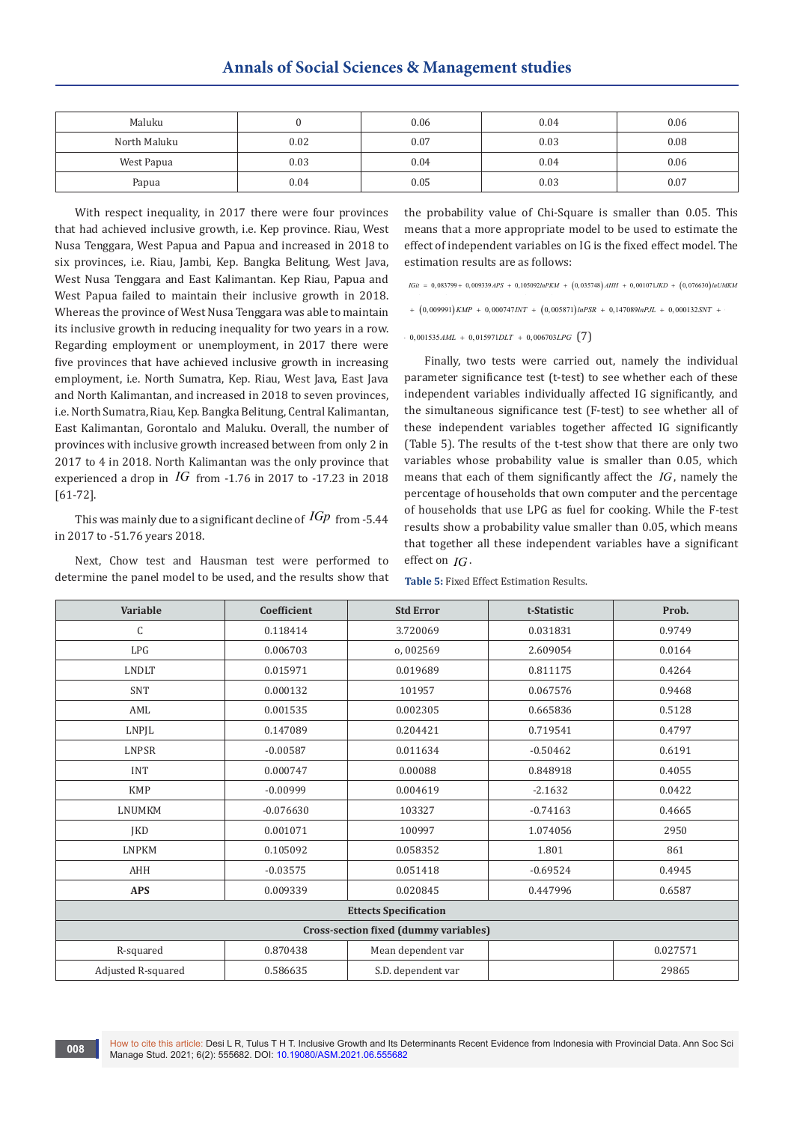| Maluku       |      | 0.06 | 0.04 | 0.06 |
|--------------|------|------|------|------|
| North Maluku | 0.02 | 0.07 | 0.03 | 0.08 |
| West Papua   | 0.03 | 0.04 | 0.04 | 0.06 |
| Papua        | 0.04 | 0.05 | 0.03 | 0.07 |

With respect inequality, in 2017 there were four provinces that had achieved inclusive growth, i.e. Kep province. Riau, West Nusa Tenggara, West Papua and Papua and increased in 2018 to six provinces, i.e. Riau, Jambi, Kep. Bangka Belitung, West Java, West Nusa Tenggara and East Kalimantan. Kep Riau, Papua and West Papua failed to maintain their inclusive growth in 2018. Whereas the province of West Nusa Tenggara was able to maintain its inclusive growth in reducing inequality for two years in a row. Regarding employment or unemployment, in 2017 there were  $0.001535AML + 0.015971DLT + 0.006703LPG$  (7) five provinces that have achieved inclusive growth in increasing employment, i.e. North Sumatra, Kep. Riau, West Java, East Java and North Kalimantan, and increased in 2018 to seven provinces, i.e. North Sumatra, Riau, Kep. Bangka Belitung, Central Kalimantan, East Kalimantan, Gorontalo and Maluku. Overall, the number of provinces with inclusive growth increased between from only 2 in 2017 to 4 in 2018. North Kalimantan was the only province that experienced a drop in  $IG$  from  $-1.76$  in 2017 to  $-17.23$  in 2018 [61-72].

This was mainly due to a significant decline of *IGp* from -5.44 in 2017 to -51.76 years 2018.

Next, Chow test and Hausman test were performed to determine the panel model to be used, and the results show that the probability value of Chi-Square is smaller than 0.05. This means that a more appropriate model to be used to estimate the effect of independent variables on IG is the fixed effect model. The estimation results are as follows:

 $IGi$ t = 0,083799 + 0,009339 APS + 0,105092 lnPKM +  $(0,035748)$  AHH + 0,001071JKD +  $(0,076630)$  lnUMKM

 $+$   $(0,009991)$  KMP  $+$   $0,0007471N$ T  $+$   $(0,005871)$  InPSR  $+$   $0,147089$ InPJL  $+$   $0,000132$ SNT  $+$ 

Finally, two tests were carried out, namely the individual parameter significance test (t-test) to see whether each of these independent variables individually affected IG significantly, and the simultaneous significance test (F-test) to see whether all of these independent variables together affected IG significantly (Table 5). The results of the t-test show that there are only two variables whose probability value is smaller than 0.05, which means that each of them significantly affect the *IG* , namely the percentage of households that own computer and the percentage of households that use LPG as fuel for cooking. While the F-test results show a probability value smaller than 0.05, which means that together all these independent variables have a significant effect on *IG* .

**Table 5:** Fixed Effect Estimation Results.

| Variable                              | Coefficient | <b>Std Error</b>   | t-Statistic | Prob.    |  |  |  |
|---------------------------------------|-------------|--------------------|-------------|----------|--|--|--|
| C                                     | 0.118414    | 3.720069           | 0.031831    | 0.9749   |  |  |  |
| LPG                                   | 0.006703    | o, 002569          | 2.609054    | 0.0164   |  |  |  |
| <b>LNDLT</b>                          | 0.015971    | 0.019689           | 0.811175    | 0.4264   |  |  |  |
| SNT                                   | 0.000132    | 101957             | 0.067576    | 0.9468   |  |  |  |
| AML                                   | 0.001535    | 0.002305           | 0.665836    | 0.5128   |  |  |  |
| LNPJL                                 | 0.147089    | 0.204421           | 0.719541    | 0.4797   |  |  |  |
| LNPSR                                 | $-0.00587$  | 0.011634           | $-0.50462$  | 0.6191   |  |  |  |
| <b>INT</b>                            | 0.000747    | 0.00088            | 0.848918    | 0.4055   |  |  |  |
| <b>KMP</b>                            | $-0.00999$  | 0.004619           | $-2.1632$   | 0.0422   |  |  |  |
| <b>LNUMKM</b>                         | $-0.076630$ | 103327             | $-0.74163$  | 0.4665   |  |  |  |
| <b>JKD</b>                            | 0.001071    | 100997             | 1.074056    | 2950     |  |  |  |
| <b>LNPKM</b>                          | 0.105092    | 0.058352           | 1.801       | 861      |  |  |  |
| AHH                                   | $-0.03575$  | 0.051418           | $-0.69524$  | 0.4945   |  |  |  |
| <b>APS</b>                            | 0.009339    | 0.020845           | 0.447996    | 0.6587   |  |  |  |
| <b>Ettects Specification</b>          |             |                    |             |          |  |  |  |
| Cross-section fixed (dummy variables) |             |                    |             |          |  |  |  |
| R-squared                             | 0.870438    | Mean dependent var |             | 0.027571 |  |  |  |
| Adjusted R-squared                    | 0.586635    | S.D. dependent var |             | 29865    |  |  |  |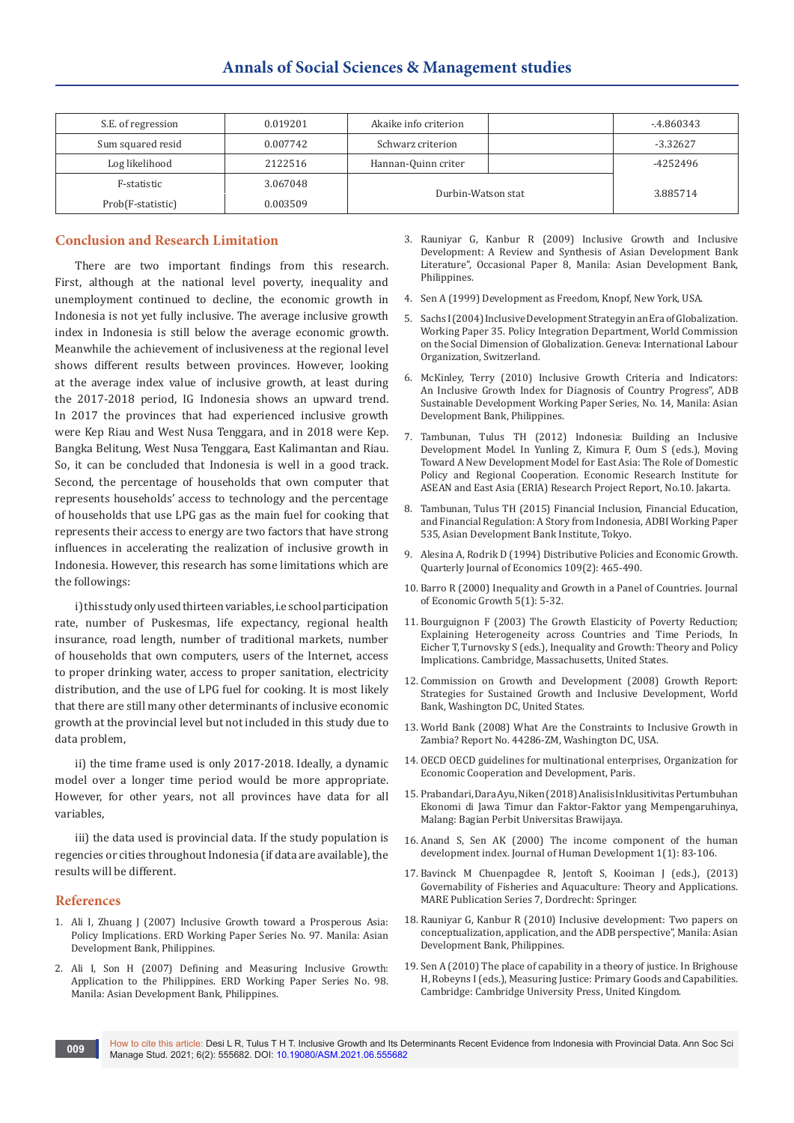| S.E. of regression | 0.019201 | Akaike info criterion |  | -.4.860343 |
|--------------------|----------|-----------------------|--|------------|
| Sum squared resid  | 0.007742 | Schwarz criterion     |  | $-3.32627$ |
| Log likelihood     | 2122516  | Hannan-Quinn criter   |  | -4252496   |
| F-statistic        | 3.067048 |                       |  |            |
| Prob(F-statistic)  | 0.003509 | Durbin-Watson stat    |  | 3.885714   |

## **Conclusion and Research Limitation**

There are two important findings from this research. First, although at the national level poverty, inequality and unemployment continued to decline, the economic growth in Indonesia is not yet fully inclusive. The average inclusive growth index in Indonesia is still below the average economic growth. Meanwhile the achievement of inclusiveness at the regional level shows different results between provinces. However, looking at the average index value of inclusive growth, at least during the 2017-2018 period, IG Indonesia shows an upward trend. In 2017 the provinces that had experienced inclusive growth were Kep Riau and West Nusa Tenggara, and in 2018 were Kep. Bangka Belitung, West Nusa Tenggara, East Kalimantan and Riau. So, it can be concluded that Indonesia is well in a good track. Second, the percentage of households that own computer that represents households' access to technology and the percentage of households that use LPG gas as the main fuel for cooking that represents their access to energy are two factors that have strong influences in accelerating the realization of inclusive growth in Indonesia. However, this research has some limitations which are the followings:

i) this study only used thirteen variables, i.e school participation rate, number of Puskesmas, life expectancy, regional health insurance, road length, number of traditional markets, number of households that own computers, users of the Internet, access to proper drinking water, access to proper sanitation, electricity distribution, and the use of LPG fuel for cooking. It is most likely that there are still many other determinants of inclusive economic growth at the provincial level but not included in this study due to data problem,

ii) the time frame used is only 2017-2018. Ideally, a dynamic model over a longer time period would be more appropriate. However, for other years, not all provinces have data for all variables,

iii) the data used is provincial data. If the study population is regencies or cities throughout Indonesia (if data are available), the results will be different.

#### **References**

- 1. Ali I, Zhuang J (2007) Inclusive Growth toward a Prosperous Asia: Policy Implications. ERD Working Paper Series No. 97. Manila: Asian Development Bank, Philippines.
- 2. Ali I, Son H (2007) Defining and Measuring Inclusive Growth: Application to the Philippines. ERD Working Paper Series No. 98. Manila: Asian Development Bank, Philippines.
- 3. Rauniyar G, Kanbur R (2009) Inclusive Growth and Inclusive Development: A Review and Synthesis of Asian Development Bank Literature", Occasional Paper 8, Manila: Asian Development Bank, Philippines.
- 4. Sen A (1999) Development as Freedom, Knopf, New York, USA.
- 5. Sachs I (2004) Inclusive Development Strategy in an Era of Globalization. Working Paper 35. Policy Integration Department, World Commission on the Social Dimension of Globalization. Geneva: International Labour Organization, Switzerland.
- 6. McKinley, Terry (2010) Inclusive Growth Criteria and Indicators: An Inclusive Growth Index for Diagnosis of Country Progress", ADB Sustainable Development Working Paper Series, No. 14, Manila: Asian Development Bank, Philippines.
- 7. Tambunan, Tulus TH (2012) Indonesia: Building an Inclusive Development Model. In Yunling Z, Kimura F, Oum S (eds.), Moving Toward A New Development Model for East Asia: The Role of Domestic Policy and Regional Cooperation. Economic Research Institute for ASEAN and East Asia (ERIA) Research Project Report, No.10. Jakarta.
- 8. Tambunan, Tulus TH (2015) Financial Inclusion, Financial Education, and Financial Regulation: A Story from Indonesia, ADBI Working Paper 535, Asian Development Bank Institute, Tokyo.
- 9. [Alesina A, Rodrik D \(1994\) Distributive Policies and Economic Growth.](https://www.jstor.org/stable/2118470?seq=1)  [Quarterly Journal of Economics 109\(2\): 465-490.](https://www.jstor.org/stable/2118470?seq=1)
- 10. [Barro R \(2000\) Inequality and Growth in a Panel of Countries. Journal](https://link.springer.com/article/10.1023/A:1009850119329)  [of Economic Growth 5\(1\): 5-32.](https://link.springer.com/article/10.1023/A:1009850119329)
- 11. Bourguignon F (2003) The Growth Elasticity of Poverty Reduction; Explaining Heterogeneity across Countries and Time Periods, In Eicher T, Turnovsky S (eds.), Inequality and Growth: Theory and Policy Implications. Cambridge, Massachusetts, United States.
- 12. Commission on Growth and Development (2008) Growth Report: Strategies for Sustained Growth and Inclusive Development, World Bank, Washington DC, United States.
- 13. World Bank (2008) What Are the Constraints to Inclusive Growth in Zambia? Report No. 44286-ZM, Washington DC, USA.
- 14. OECD OECD guidelines for multinational enterprises, Organization for Economic Cooperation and Development, Paris.
- 15. Prabandari, Dara Ayu, Niken (2018) Analisis Inklusitivitas Pertumbuhan Ekonomi di Jawa Timur dan Faktor-Faktor yang Mempengaruhinya, Malang: Bagian Perbit Universitas Brawijaya.
- 16. [Anand S, Sen AK \(2000\) The income component of the human](https://www.tandfonline.com/doi/abs/10.1080/14649880050008782)  [development index. Journal of Human Development 1\(1\): 83-106.](https://www.tandfonline.com/doi/abs/10.1080/14649880050008782)
- 17. Bavinck M Chuenpagdee R, Jentoft S, Kooiman J (eds.), (2013) Governability of Fisheries and Aquaculture: Theory and Applications. MARE Publication Series 7, Dordrecht: Springer.
- 18. Rauniyar G, Kanbur R (2010) Inclusive development: Two papers on conceptualization, application, and the ADB perspective", Manila: Asian Development Bank, Philippines.
- 19. Sen A (2010) The place of capability in a theory of justice. In Brighouse H, Robeyns I (eds.), Measuring Justice: Primary Goods and Capabilities. Cambridge: Cambridge University Press, United Kingdom.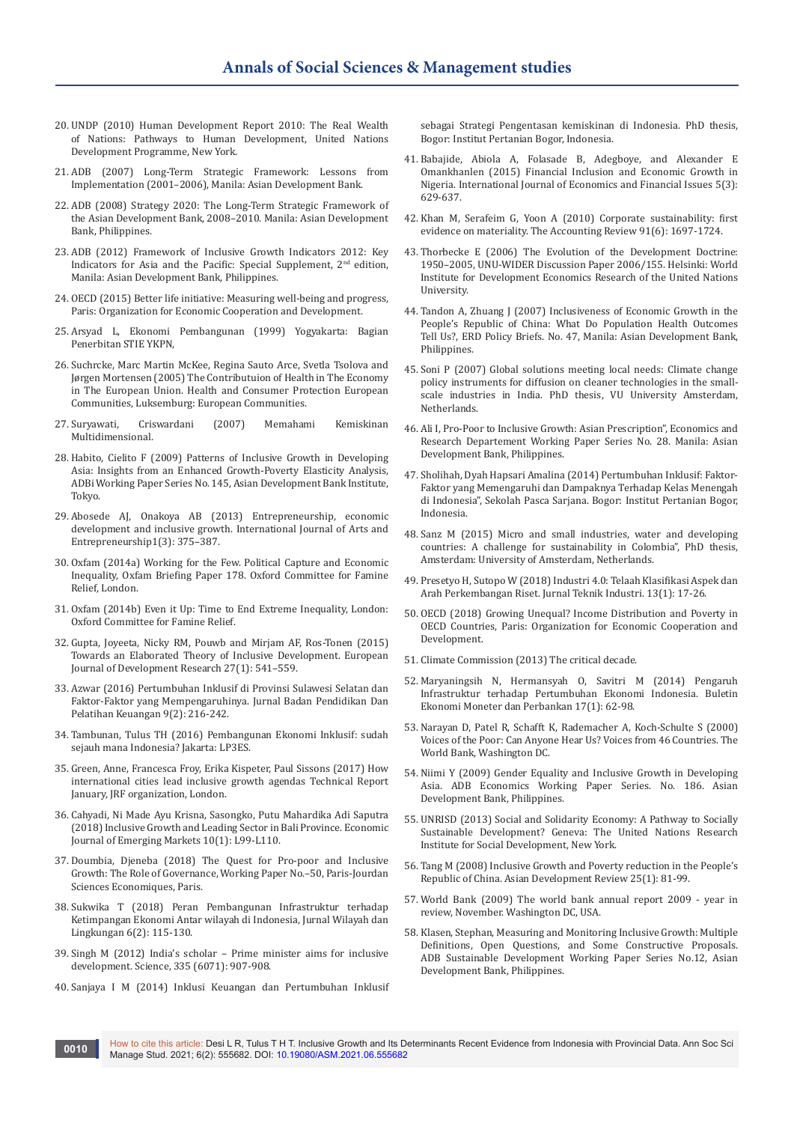- 20. UNDP (2010) Human Development Report 2010: The Real Wealth of Nations: Pathways to Human Development, United Nations Development Programme, New York.
- 21. ADB (2007) Long-Term Strategic Framework: Lessons from Implementation (2001–2006), Manila: Asian Development Bank.
- 22. ADB (2008) Strategy 2020: The Long-Term Strategic Framework of the Asian Development Bank, 2008–2010. Manila: Asian Development Bank, Philippines.
- 23. ADB (2012) Framework of Inclusive Growth Indicators 2012: Key Indicators for Asia and the Pacific: Special Supplement, 2<sup>nd</sup> edition, Manila: Asian Development Bank, Philippines.
- 24. OECD (2015) Better life initiative: Measuring well-being and progress, Paris: Organization for Economic Cooperation and Development.
- 25. Arsyad L, Ekonomi Pembangunan (1999) Yogyakarta: Bagian Penerbitan STIE YKPN,
- 26. Suchrcke, Marc Martin McKee, Regina Sauto Arce, Svetla Tsolova and Jørgen Mortensen (2005) The Contributuion of Health in The Economy in The European Union. Health and Consumer Protection European Communities, Luksemburg: European Communities.
- 27. Suryawati, Criswardani (2007) Memahami Kemiskinan Multidimensional.
- 28. Habito, Cielito F (2009) Patterns of Inclusive Growth in Developing Asia: Insights from an Enhanced Growth-Poverty Elasticity Analysis, ADBi Working Paper Series No. 145, Asian Development Bank Institute, Tokyo.
- 29. [Abosede AJ, Onakoya AB \(2013\) Entrepreneurship, economic](https://www.ijsse.org/articles/ijsse_v1_i3_375_387.pdf)  [development and inclusive growth. International Journal of Arts and](https://www.ijsse.org/articles/ijsse_v1_i3_375_387.pdf)  [Entrepreneurship1\(3\): 375–387.](https://www.ijsse.org/articles/ijsse_v1_i3_375_387.pdf)
- 30. Oxfam (2014a) Working for the Few. Political Capture and Economic Inequality, Oxfam Briefing Paper 178. Oxford Committee for Famine Relief, London.
- 31. Oxfam (2014b) Even it Up: Time to End Extreme Inequality, London: Oxford Committee for Famine Relief.
- 32. [Gupta, Joyeeta, Nicky RM, Pouwb and Mirjam AF, Ros-Tonen \(2015\)](https://link.springer.com/article/10.1057/ejdr.2015.30)  [Towards an Elaborated Theory of Inclusive Development. European](https://link.springer.com/article/10.1057/ejdr.2015.30)  [Journal of Development Research 27\(1\): 541–559.](https://link.springer.com/article/10.1057/ejdr.2015.30)
- 33. [Azwar \(2016\) Pertumbuhan Inklusif di Provinsi Sulawesi Selatan dan](https://jurnal.bppk.kemenkeu.go.id/jurnalbppk/article/view/128)  [Faktor-Faktor yang Mempengaruhinya. Jurnal Badan Pendidikan Dan](https://jurnal.bppk.kemenkeu.go.id/jurnalbppk/article/view/128)  [Pelatihan Keuangan 9\(2\): 216-242.](https://jurnal.bppk.kemenkeu.go.id/jurnalbppk/article/view/128)
- 34. Tambunan, Tulus TH (2016) Pembangunan Ekonomi Inklusif: sudah sejauh mana Indonesia? Jakarta: LP3ES.
- 35. Green, Anne, Francesca Froy, Erika Kispeter, Paul Sissons (2017) How international cities lead inclusive growth agendas Technical Report January, JRF organization, London.
- 36. Cahyadi, Ni Made Ayu Krisna, Sasongko, Putu Mahardika Adi Saputra (2018) Inclusive Growth and Leading Sector in Bali Province. Economic Journal of Emerging Markets 10(1): L99-L110.
- 37. Doumbia, Djeneba (2018) The Quest for Pro-poor and Inclusive Growth: The Role of Governance, Working Paper No.–50, Paris-Jourdan Sciences Economiques, Paris.
- 38. Sukwika T (2018) Peran Pembangunan Infrastruktur terhadap Ketimpangan Ekonomi Antar wilayah di Indonesia, Jurnal Wilayah dan Lingkungan 6(2): 115-130.
- 39. Singh M (2012) India's scholar Prime minister aims for inclusive development. Science, 335 (6071): 907-908.
- 40. Sanjaya I M (2014) Inklusi Keuangan dan Pertumbuhan Inklusif

sebagai Strategi Pengentasan kemiskinan di Indonesia. PhD thesis, Bogor: Institut Pertanian Bogor, Indonesia.

- 41. [Babajide, Abiola A, Folasade B, Adegboye, and Alexander E](https://www.econjournals.com/index.php/ijefi/article/view/1154/pdf)  [Omankhanlen \(2015\) Financial Inclusion and Economic Growth in](https://www.econjournals.com/index.php/ijefi/article/view/1154/pdf)  [Nigeria. International Journal of Economics and Financial Issues 5\(3\):](https://www.econjournals.com/index.php/ijefi/article/view/1154/pdf)  [629-637.](https://www.econjournals.com/index.php/ijefi/article/view/1154/pdf)
- 42. [Khan M, Serafeim G, Yoon A \(2010\) Corporate sustainability: first](https://papers.ssrn.com/sol3/papers.cfm?abstract_id=2575912)  [evidence on materiality. The Accounting Review 91\(6\): 1697-1724.](https://papers.ssrn.com/sol3/papers.cfm?abstract_id=2575912)
- 43. Thorbecke E (2006) The Evolution of the Development Doctrine: 1950–2005, UNU-WIDER Discussion Paper 2006/155. Helsinki: World Institute for Development Economics Research of the United Nations University.
- 44. Tandon A, Zhuang J (2007) Inclusiveness of Economic Growth in the People's Republic of China: What Do Population Health Outcomes Tell Us?, ERD Policy Briefs. No. 47, Manila: Asian Development Bank, Philippines.
- 45. Soni P (2007) Global solutions meeting local needs: Climate change policy instruments for diffusion on cleaner technologies in the smallscale industries in India. PhD thesis, VU University Amsterdam, Netherlands.
- 46. Ali I, Pro-Poor to Inclusive Growth: Asian Prescription", Economics and Research Departement Working Paper Series No. 28. Manila: Asian Development Bank, Philippines.
- 47. Sholihah, Dyah Hapsari Amalina (2014) Pertumbuhan Inklusif: Faktor-Faktor yang Memengaruhi dan Dampaknya Terhadap Kelas Menengah di Indonesia", Sekolah Pasca Sarjana. Bogor: Institut Pertanian Bogor, Indonesia.
- 48. Sanz M (2015) Micro and small industries, water and developing countries: A challenge for sustainability in Colombia", PhD thesis, Amsterdam: University of Amsterdam, Netherlands.
- 49. [Presetyo H, Sutopo W \(2018\) Industri 4.0: Telaah Klasifikasi Aspek dan](https://ejournal.undip.ac.id/index.php/jgti/article/view/18369)  [Arah Perkembangan Riset. Jurnal Teknik Industri. 13\(1\): 17-26.](https://ejournal.undip.ac.id/index.php/jgti/article/view/18369)
- 50. OECD (2018) Growing Unequal? Income Distribution and Poverty in OECD Countries, Paris: Organization for Economic Cooperation and Development.
- 51. Climate Commission (2013) The critical decade.
- 52. Maryaningsih N, Hermansyah O, Savitri M (2014) Pengaruh Infrastruktur terhadap Pertumbuhan Ekonomi Indonesia. Buletin Ekonomi Moneter dan Perbankan 17(1): 62-98.
- 53. Narayan D, Patel R, Schafft K, Rademacher A, Koch-Schulte S (2000) Voices of the Poor: Can Anyone Hear Us? Voices from 46 Countries. The World Bank, Washington DC.
- 54. Niimi Y (2009) Gender Equality and Inclusive Growth in Developing Asia. ADB Economics Working Paper Series. No. 186. Asian Development Bank, Philippines.
- 55. UNRISD (2013) Social and Solidarity Economy: A Pathway to Socially Sustainable Development? Geneva: The United Nations Research Institute for Social Development, New York.
- 56. Tang M (2008) Inclusive Growth and Poverty reduction in the People's Republic of China. Asian Development Review 25(1): 81-99.
- 57. World Bank (2009) The world bank annual report 2009 year in review, November. Washington DC, USA.
- 58. Klasen, Stephan, Measuring and Monitoring Inclusive Growth: Multiple Definitions, Open Questions, and Some Constructive Proposals. ADB Sustainable Development Working Paper Series No.12, Asian Development Bank, Philippines.